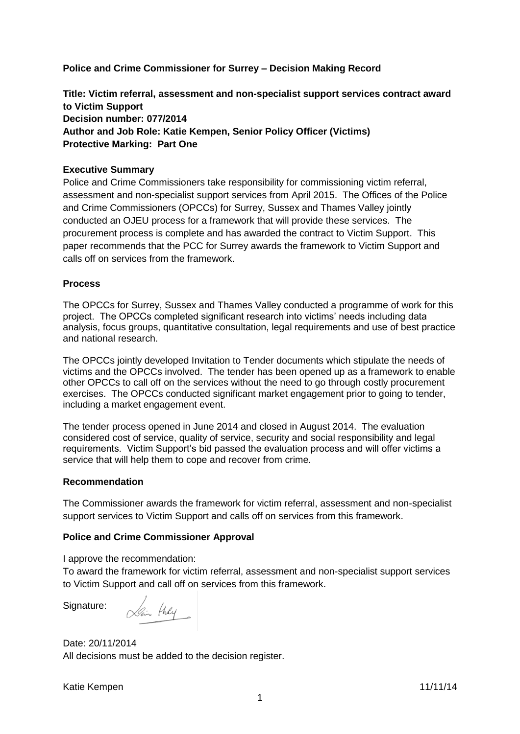**Police and Crime Commissioner for Surrey – Decision Making Record**

**Title: Victim referral, assessment and non-specialist support services contract award to Victim Support Decision number: 077/2014 Author and Job Role: Katie Kempen, Senior Policy Officer (Victims) Protective Marking: Part One**

### **Executive Summary**

Police and Crime Commissioners take responsibility for commissioning victim referral, assessment and non-specialist support services from April 2015. The Offices of the Police and Crime Commissioners (OPCCs) for Surrey, Sussex and Thames Valley jointly conducted an OJEU process for a framework that will provide these services. The procurement process is complete and has awarded the contract to Victim Support. This paper recommends that the PCC for Surrey awards the framework to Victim Support and calls off on services from the framework.

## **Process**

The OPCCs for Surrey, Sussex and Thames Valley conducted a programme of work for this project. The OPCCs completed significant research into victims' needs including data analysis, focus groups, quantitative consultation, legal requirements and use of best practice and national research.

The OPCCs jointly developed Invitation to Tender documents which stipulate the needs of victims and the OPCCs involved. The tender has been opened up as a framework to enable other OPCCs to call off on the services without the need to go through costly procurement exercises. The OPCCs conducted significant market engagement prior to going to tender, including a market engagement event.

The tender process opened in June 2014 and closed in August 2014. The evaluation considered cost of service, quality of service, security and social responsibility and legal requirements. Victim Support's bid passed the evaluation process and will offer victims a service that will help them to cope and recover from crime.

### **Recommendation**

The Commissioner awards the framework for victim referral, assessment and non-specialist support services to Victim Support and calls off on services from this framework.

### **Police and Crime Commissioner Approval**

I approve the recommendation:

To award the framework for victim referral, assessment and non-specialist support services to Victim Support and call off on services from this framework.

Signature:

Lain they

Date: 20/11/2014 All decisions must be added to the decision register.